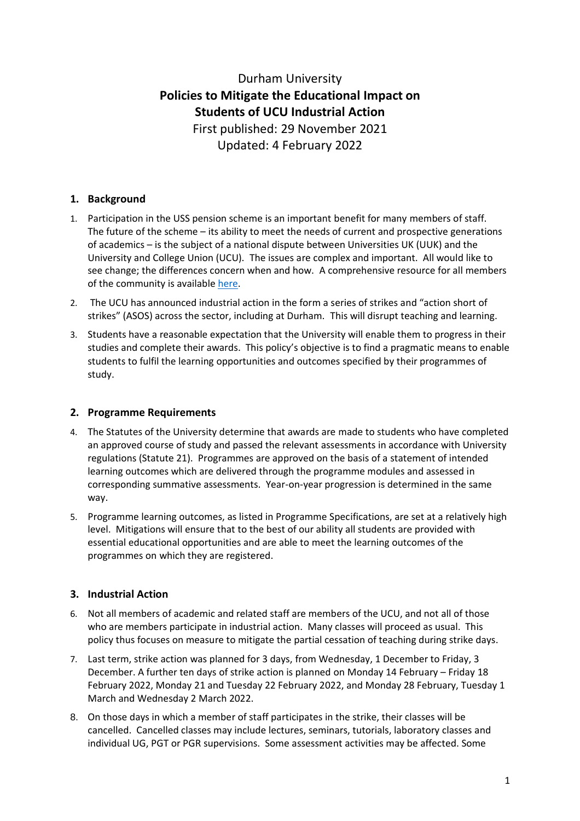# Durham University **Policies to Mitigate the Educational Impact on Students of UCU Industrial Action** First published: 29 November 2021 Updated: 4 February 2022

## **1. Background**

- 1. Participation in the USS pension scheme is an important benefit for many members of staff. The future of the scheme – its ability to meet the needs of current and prospective generations of academics – is the subject of a national dispute between Universities UK (UUK) and the University and College Union (UCU). The issues are complex and important. All would like to see change; the differences concern when and how. A comprehensive resource for all members of the community is availabl[e here.](https://www.durham.ac.uk/industrial-action/)
- 2. The UCU has announced industrial action in the form a series of strikes and "action short of strikes" (ASOS) across the sector, including at Durham. This will disrupt teaching and learning.
- 3. Students have a reasonable expectation that the University will enable them to progress in their studies and complete their awards. This policy's objective is to find a pragmatic means to enable students to fulfil the learning opportunities and outcomes specified by their programmes of study.

### **2. Programme Requirements**

- 4. The Statutes of the University determine that awards are made to students who have completed an approved course of study and passed the relevant assessments in accordance with University regulations (Statute 21). Programmes are approved on the basis of a statement of intended learning outcomes which are delivered through the programme modules and assessed in corresponding summative assessments. Year-on-year progression is determined in the same way.
- 5. Programme learning outcomes, as listed in Programme Specifications, are set at a relatively high level. Mitigations will ensure that to the best of our ability all students are provided with essential educational opportunities and are able to meet the learning outcomes of the programmes on which they are registered.

### **3. Industrial Action**

- 6. Not all members of academic and related staff are members of the UCU, and not all of those who are members participate in industrial action. Many classes will proceed as usual. This policy thus focuses on measure to mitigate the partial cessation of teaching during strike days.
- 7. Last term, strike action was planned for 3 days, from Wednesday, 1 December to Friday, 3 December. A further ten days of strike action is planned on Monday 14 February – Friday 18 February 2022, Monday 21 and Tuesday 22 February 2022, and Monday 28 February, Tuesday 1 March and Wednesday 2 March 2022.
- 8. On those days in which a member of staff participates in the strike, their classes will be cancelled. Cancelled classes may include lectures, seminars, tutorials, laboratory classes and individual UG, PGT or PGR supervisions. Some assessment activities may be affected. Some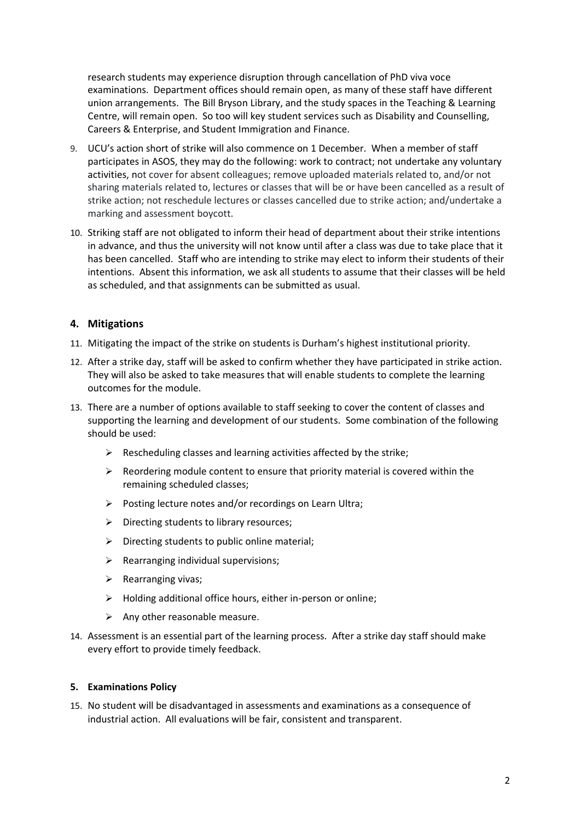research students may experience disruption through cancellation of PhD viva voce examinations. Department offices should remain open, as many of these staff have different union arrangements. The Bill Bryson Library, and the study spaces in the Teaching & Learning Centre, will remain open. So too will key student services such as Disability and Counselling, Careers & Enterprise, and Student Immigration and Finance.

- 9. UCU's action short of strike will also commence on 1 December. When a member of staff participates in ASOS, they may do the following: work to contract; not undertake any voluntary activities, not cover for absent colleagues; remove uploaded materials related to, and/or not sharing materials related to, lectures or classes that will be or have been cancelled as a result of strike action; not reschedule lectures or classes cancelled due to strike action; and/undertake a marking and assessment boycott.
- 10. Striking staff are not obligated to inform their head of department about their strike intentions in advance, and thus the university will not know until after a class was due to take place that it has been cancelled. Staff who are intending to strike may elect to inform their students of their intentions. Absent this information, we ask all students to assume that their classes will be held as scheduled, and that assignments can be submitted as usual.

### **4. Mitigations**

- 11. Mitigating the impact of the strike on students is Durham's highest institutional priority.
- 12. After a strike day, staff will be asked to confirm whether they have participated in strike action. They will also be asked to take measures that will enable students to complete the learning outcomes for the module.
- 13. There are a number of options available to staff seeking to cover the content of classes and supporting the learning and development of our students. Some combination of the following should be used:
	- ➢ Rescheduling classes and learning activities affected by the strike;
	- ➢ Reordering module content to ensure that priority material is covered within the remaining scheduled classes;
	- ➢ Posting lecture notes and/or recordings on Learn Ultra;
	- $\triangleright$  Directing students to library resources;
	- $\triangleright$  Directing students to public online material;
	- $\triangleright$  Rearranging individual supervisions;
	- ➢ Rearranging vivas;
	- ➢ Holding additional office hours, either in-person or online;
	- $\triangleright$  Any other reasonable measure.
- 14. Assessment is an essential part of the learning process. After a strike day staff should make every effort to provide timely feedback.

#### **5. Examinations Policy**

15. No student will be disadvantaged in assessments and examinations as a consequence of industrial action. All evaluations will be fair, consistent and transparent.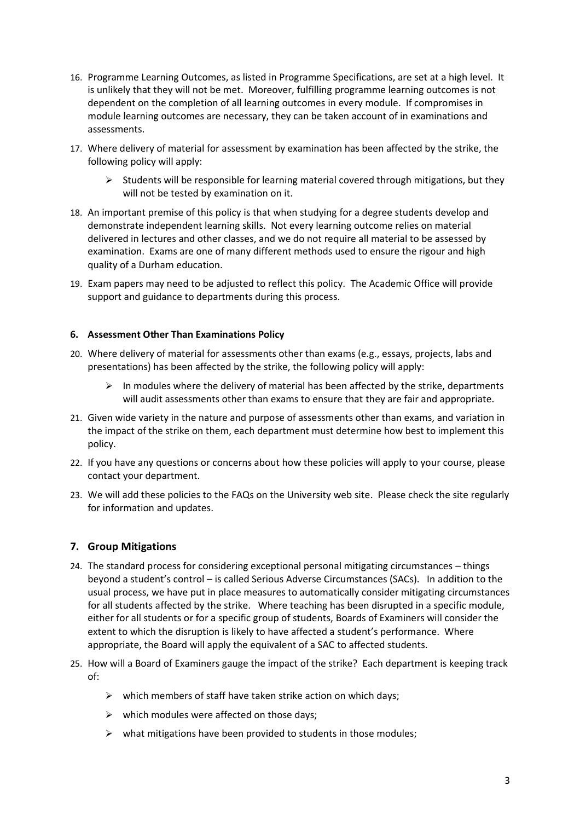- 16. Programme Learning Outcomes, as listed in Programme Specifications, are set at a high level. It is unlikely that they will not be met. Moreover, fulfilling programme learning outcomes is not dependent on the completion of all learning outcomes in every module. If compromises in module learning outcomes are necessary, they can be taken account of in examinations and assessments.
- 17. Where delivery of material for assessment by examination has been affected by the strike, the following policy will apply:
	- $\triangleright$  Students will be responsible for learning material covered through mitigations, but they will not be tested by examination on it.
- 18. An important premise of this policy is that when studying for a degree students develop and demonstrate independent learning skills. Not every learning outcome relies on material delivered in lectures and other classes, and we do not require all material to be assessed by examination. Exams are one of many different methods used to ensure the rigour and high quality of a Durham education.
- 19. Exam papers may need to be adjusted to reflect this policy. The Academic Office will provide support and guidance to departments during this process.

#### **6. Assessment Other Than Examinations Policy**

- 20. Where delivery of material for assessments other than exams (e.g., essays, projects, labs and presentations) has been affected by the strike, the following policy will apply:
	- $\triangleright$  In modules where the delivery of material has been affected by the strike, departments will audit assessments other than exams to ensure that they are fair and appropriate.
- 21. Given wide variety in the nature and purpose of assessments other than exams, and variation in the impact of the strike on them, each department must determine how best to implement this policy.
- 22. If you have any questions or concerns about how these policies will apply to your course, please contact your department.
- 23. We will add these policies to the FAQs on the University web site. Please check the site regularly for information and updates.

### **7. Group Mitigations**

- 24. The standard process for considering exceptional personal mitigating circumstances things beyond a student's control – is called Serious Adverse Circumstances (SACs). In addition to the usual process, we have put in place measures to automatically consider mitigating circumstances for all students affected by the strike. Where teaching has been disrupted in a specific module, either for all students or for a specific group of students, Boards of Examiners will consider the extent to which the disruption is likely to have affected a student's performance. Where appropriate, the Board will apply the equivalent of a SAC to affected students.
- 25. How will a Board of Examiners gauge the impact of the strike? Each department is keeping track of:
	- $\triangleright$  which members of staff have taken strike action on which days;
	- $\triangleright$  which modules were affected on those days:
	- $\triangleright$  what mitigations have been provided to students in those modules: